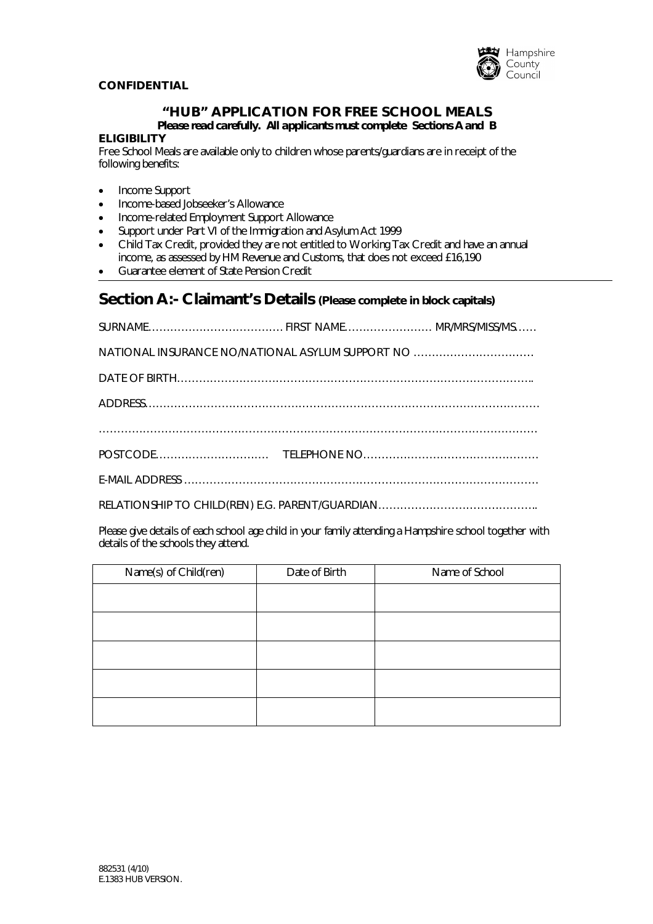

## **CONFIDENTIAL**

## **"HUB" APPLICATION FOR FREE SCHOOL MEALS** *Please read carefully. All applicants must complete Sections A and B*

#### **ELIGIBILITY**

Free School Meals are available only to children whose parents/guardians are in receipt of the following benefits:

- Income Support
- Income-based Jobseeker's Allowance
- Income-related Employment Support Allowance
- Support under Part VI of the Immigration and Asylum Act 1999
- Child Tax Credit, provided they are not entitled to Working Tax Credit and have an annual income, as assessed by HM Revenue and Customs, that does not exceed £16,190
- Guarantee element of State Pension Credit

## **Section A:- Claimant's Details (Please complete in block capitals)**

| NATIONAL INSURANCE NO/NATIONAL ASYLUM SUPPORT NO |  |  |  |  |
|--------------------------------------------------|--|--|--|--|
|                                                  |  |  |  |  |
|                                                  |  |  |  |  |
|                                                  |  |  |  |  |
|                                                  |  |  |  |  |
|                                                  |  |  |  |  |
|                                                  |  |  |  |  |

Please give details of each school age child in your family attending a Hampshire school together with details of the schools they attend.

| Name(s) of Child(ren) | Date of Birth | Name of School |
|-----------------------|---------------|----------------|
|                       |               |                |
|                       |               |                |
|                       |               |                |
|                       |               |                |
|                       |               |                |